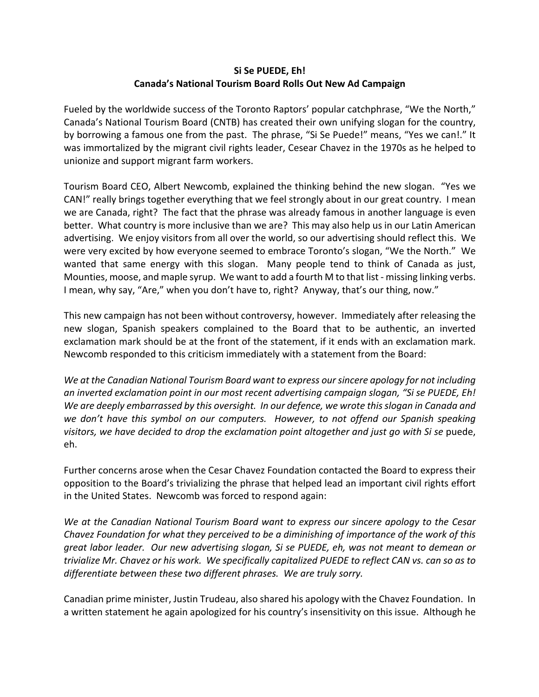## **Si Se PUEDE, Eh! Canada's National Tourism Board Rolls Out New Ad Campaign**

Fueled by the worldwide success of the Toronto Raptors' popular catchphrase, "We the North," Canada's National Tourism Board (CNTB) has created their own unifying slogan for the country, by borrowing a famous one from the past. The phrase, "Si Se Puede!" means, "Yes we can!." It was immortalized by the migrant civil rights leader, Cesear Chavez in the 1970s as he helped to unionize and support migrant farm workers.

Tourism Board CEO, Albert Newcomb, explained the thinking behind the new slogan. "Yes we CAN!" really brings together everything that we feel strongly about in our great country. I mean we are Canada, right? The fact that the phrase was already famous in another language is even better. What country is more inclusive than we are? This may also help us in our Latin American advertising. We enjoy visitors from all over the world, so our advertising should reflect this. We were very excited by how everyone seemed to embrace Toronto's slogan, "We the North." We wanted that same energy with this slogan. Many people tend to think of Canada as just, Mounties, moose, and maple syrup. We want to add a fourth M to that list - missing linking verbs. I mean, why say, "Are," when you don't have to, right? Anyway, that's our thing, now."

This new campaign has not been without controversy, however. Immediately after releasing the new slogan, Spanish speakers complained to the Board that to be authentic, an inverted exclamation mark should be at the front of the statement, if it ends with an exclamation mark. Newcomb responded to this criticism immediately with a statement from the Board:

*We at the Canadian National Tourism Board want to express our sincere apology for not including an inverted exclamation point in our most recent advertising campaign slogan, "Si se PUEDE, Eh! We are deeply embarrassed by this oversight. In our defence, we wrote this slogan in Canada and we don't have this symbol on our computers. However, to not offend our Spanish speaking visitors, we have decided to drop the exclamation point altogether and just go with Si se puede,* eh.

Further concerns arose when the Cesar Chavez Foundation contacted the Board to express their opposition to the Board's trivializing the phrase that helped lead an important civil rights effort in the United States. Newcomb was forced to respond again:

*We at the Canadian National Tourism Board want to express our sincere apology to the Cesar Chavez Foundation for what they perceived to be a diminishing of importance of the work of this great labor leader. Our new advertising slogan, Si se PUEDE, eh, was not meant to demean or trivialize Mr. Chavez or his work. We specifically capitalized PUEDE to reflect CAN vs. can so as to differentiate between these two different phrases. We are truly sorry.*

Canadian prime minister, Justin Trudeau, also shared his apology with the Chavez Foundation. In a written statement he again apologized for his country's insensitivity on this issue. Although he